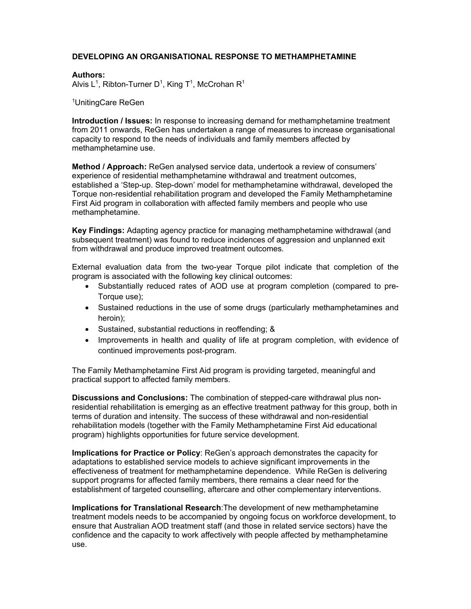## **DEVELOPING AN ORGANISATIONAL RESPONSE TO METHAMPHETAMINE**

## **Authors:**

Alvis L<sup>1</sup>, Ribton-Turner D<sup>1</sup>, King T<sup>1</sup>, McCrohan R<sup>1</sup>

1 UnitingCare ReGen

**Introduction / Issues:** In response to increasing demand for methamphetamine treatment from 2011 onwards, ReGen has undertaken a range of measures to increase organisational capacity to respond to the needs of individuals and family members affected by methamphetamine use.

**Method / Approach:** ReGen analysed service data, undertook a review of consumers' experience of residential methamphetamine withdrawal and treatment outcomes, established a 'Step-up. Step-down' model for methamphetamine withdrawal, developed the Torque non-residential rehabilitation program and developed the Family Methamphetamine First Aid program in collaboration with affected family members and people who use methamphetamine.

**Key Findings:** Adapting agency practice for managing methamphetamine withdrawal (and subsequent treatment) was found to reduce incidences of aggression and unplanned exit from withdrawal and produce improved treatment outcomes.

External evaluation data from the two-year Torque pilot indicate that completion of the program is associated with the following key clinical outcomes:

- Substantially reduced rates of AOD use at program completion (compared to pre-Torque use);
- Sustained reductions in the use of some drugs (particularly methamphetamines and heroin);
- Sustained, substantial reductions in reoffending; &
- Improvements in health and quality of life at program completion, with evidence of continued improvements post-program.

The Family Methamphetamine First Aid program is providing targeted, meaningful and practical support to affected family members.

**Discussions and Conclusions:** The combination of stepped-care withdrawal plus nonresidential rehabilitation is emerging as an effective treatment pathway for this group, both in terms of duration and intensity. The success of these withdrawal and non-residential rehabilitation models (together with the Family Methamphetamine First Aid educational program) highlights opportunities for future service development.

**Implications for Practice or Policy**: ReGen's approach demonstrates the capacity for adaptations to established service models to achieve significant improvements in the effectiveness of treatment for methamphetamine dependence. While ReGen is delivering support programs for affected family members, there remains a clear need for the establishment of targeted counselling, aftercare and other complementary interventions.

**Implications for Translational Research**:The development of new methamphetamine treatment models needs to be accompanied by ongoing focus on workforce development, to ensure that Australian AOD treatment staff (and those in related service sectors) have the confidence and the capacity to work affectively with people affected by methamphetamine use.